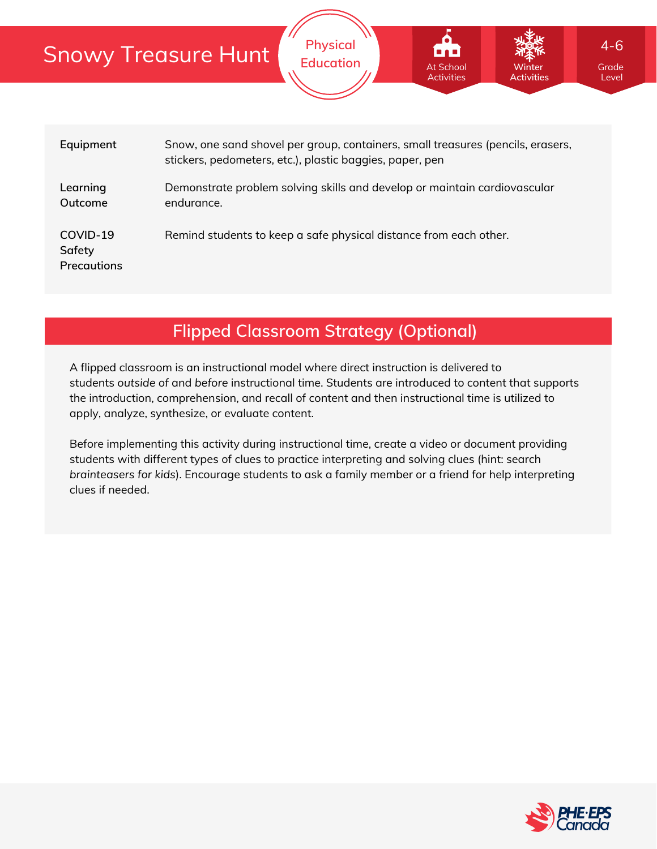|                                          | <b>Snowy Treasure Hunt</b>                                                                                                                  | <b>Physical</b><br><b>Education</b>                               | <b>At School</b><br><b>Activities</b> | Winter<br><b>Activities</b> | $4 - 6$<br>Grade<br>Level |  |  |  |  |  |
|------------------------------------------|---------------------------------------------------------------------------------------------------------------------------------------------|-------------------------------------------------------------------|---------------------------------------|-----------------------------|---------------------------|--|--|--|--|--|
|                                          |                                                                                                                                             |                                                                   |                                       |                             |                           |  |  |  |  |  |
| Equipment                                | Snow, one sand shovel per group, containers, small treasures (pencils, erasers,<br>stickers, pedometers, etc.), plastic baggies, paper, pen |                                                                   |                                       |                             |                           |  |  |  |  |  |
| Learning<br>Outcome                      | Demonstrate problem solving skills and develop or maintain cardiovascular<br>endurance.                                                     |                                                                   |                                       |                             |                           |  |  |  |  |  |
| COVID-19<br>Safety<br><b>Precautions</b> |                                                                                                                                             | Remind students to keep a safe physical distance from each other. |                                       |                             |                           |  |  |  |  |  |

## **Flipped Classroom Strategy (Optional)**

A flipped classroom is an instructional model where direct instruction is delivered to students *outside of* and *before* instructional time. Students are introduced to content that supports the introduction, comprehension, and recall of content and then instructional time is utilized to apply, analyze, synthesize, or evaluate content.

Before implementing this activity during instructional time, create a video or document providing students with different types of clues to practice interpreting and solving clues (hint: search *brainteasers for kids*). Encourage students to ask a family member or a friend for help interpreting clues if needed.

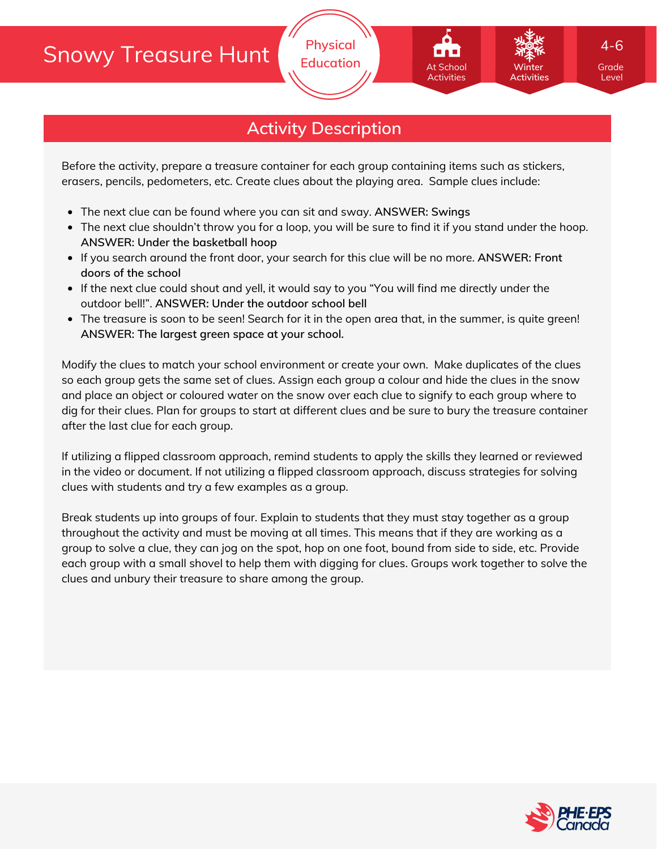# Snowy Treasure Hunt

### **Activity Description**

Before the activity, prepare a treasure container for each group containing items such as stickers, erasers, pencils, pedometers, etc. Create clues about the playing area. Sample clues include:

- The next clue can be found where you can sit and sway. **ANSWER: Swings**
- The next clue shouldn't throw you for a loop, you will be sure to find it if you stand under the hoop. **ANSWER: Under the basketball hoop**
- If you search around the front door, your search for this clue will be no more. **ANSWER: Front doors of the school**
- If the next clue could shout and yell, it would say to you "You will find me directly under the outdoor bell!". **ANSWER: Under the outdoor school bell**
- The treasure is soon to be seen! Search for it in the open area that, in the summer, is quite green! **ANSWER: The largest green space at your school.**

Modify the clues to match your school environment or create your own. Make duplicates of the clues so each group gets the same set of clues. Assign each group a colour and hide the clues in the snow and place an object or coloured water on the snow over each clue to signify to each group where to dig for their clues. Plan for groups to start at different clues and be sure to bury the treasure container after the last clue for each group.

If utilizing a flipped classroom approach, remind students to apply the skills they learned or reviewed in the video or document. If not utilizing a flipped classroom approach, discuss strategies for solving clues with students and try a few examples as a group.

Break students up into groups of four. Explain to students that they must stay together as a group throughout the activity and must be moving at all times. This means that if they are working as a group to solve a clue, they can jog on the spot, hop on one foot, bound from side to side, etc. Provide each group with a small shovel to help them with digging for clues. Groups work together to solve the clues and unbury their treasure to share among the group.



Level

4-6

**Winter Activities**

At School Activities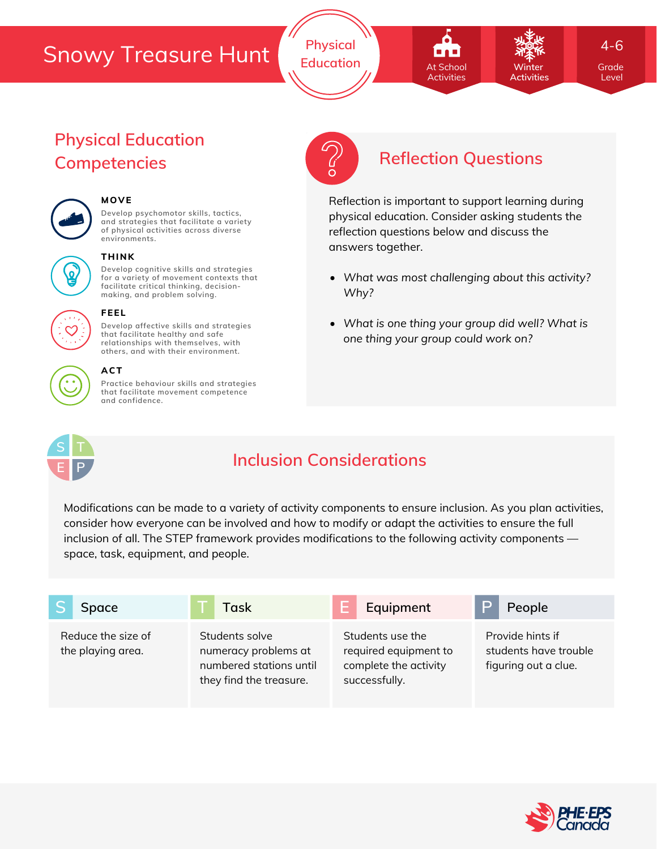## Snowy Treasure Hunt

**Physical Education Grade** At School **Grade** Winter Grade

At School Activities

*What was most challenging about this activity?*

Reflection is important to support learning during physical education. Consider asking students the

*What is one thing your group did well? What is*

*one thing your group could work on?*

reflection questions below and discuss the

**Winter Activities** 4-6

Level

## **Physical Education Competencies Reflection Questions**



### **MOVE**

**Develop psychomotor skills, tactics, and strategies that facilitate a variety of physical activities across diverse environments.**



#### **THINK**

**Develop cognitive skills and strategies for a variety of movement contexts that facilitate critical thinking, decision making, and problem solving.**



#### **FEEL**

**Develop affective skills and strategies that facilitate healthy and safe relationships with themselves, with others, and with their environment.**

#### **ACT**

**Practice behaviour skills and strategies that facilitate movement competence and confidence.**



## **Inclusion Considerations**

*Why?*

answers together.

Modifications can be made to a variety of activity components to ensure inclusion. As you plan activities, consider how everyone can be involved and how to modify or adapt the activities to ensure the full inclusion of all. The STEP framework provides modifications to the following activity components space, task, equipment, and people.

| Space                                   | Task                                                                                         | Equipment                                                                           | People                                                            |
|-----------------------------------------|----------------------------------------------------------------------------------------------|-------------------------------------------------------------------------------------|-------------------------------------------------------------------|
| Reduce the size of<br>the playing area. | Students solve<br>numeracy problems at<br>numbered stations until<br>they find the treasure. | Students use the<br>required equipment to<br>complete the activity<br>successfully. | Provide hints if<br>students have trouble<br>figuring out a clue. |